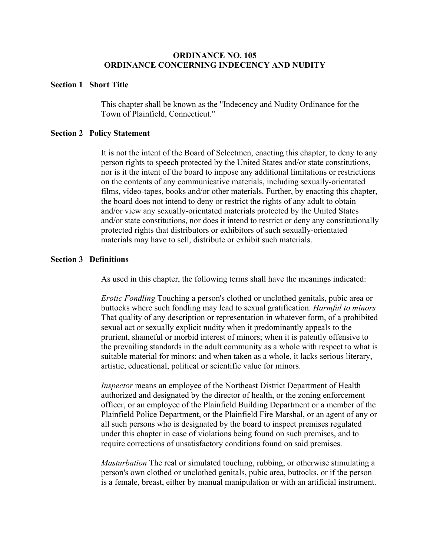### **ORDINANCE NO. 105 ORDINANCE CONCERNING INDECENCY AND NUDITY**

### **Section 1 Short Title**

This chapter shall be known as the "Indecency and Nudity Ordinance for the Town of Plainfield, Connecticut."

#### **Section 2 Policy Statement**

It is not the intent of the Board of Selectmen, enacting this chapter, to deny to any person rights to speech protected by the United States and/or state constitutions, nor is it the intent of the board to impose any additional limitations or restrictions on the contents of any communicative materials, including sexually-orientated films, video-tapes, books and/or other materials. Further, by enacting this chapter, the board does not intend to deny or restrict the rights of any adult to obtain and/or view any sexually-orientated materials protected by the United States and/or state constitutions, nor does it intend to restrict or deny any constitutionally protected rights that distributors or exhibitors of such sexually-orientated materials may have to sell, distribute or exhibit such materials.

# **Section 3 Definitions**

As used in this chapter, the following terms shall have the meanings indicated:

*Erotic Fondling* Touching a person's clothed or unclothed genitals, pubic area or buttocks where such fondling may lead to sexual gratification. *Harmful to minors* That quality of any description or representation in whatever form, of a prohibited sexual act or sexually explicit nudity when it predominantly appeals to the prurient, shameful or morbid interest of minors; when it is patently offensive to the prevailing standards in the adult community as a whole with respect to what is suitable material for minors; and when taken as a whole, it lacks serious literary, artistic, educational, political or scientific value for minors.

*Inspector* means an employee of the Northeast District Department of Health authorized and designated by the director of health, or the zoning enforcement officer, or an employee of the Plainfield Building Department or a member of the Plainfield Police Department, or the Plainfield Fire Marshal, or an agent of any or all such persons who is designated by the board to inspect premises regulated under this chapter in case of violations being found on such premises, and to require corrections of unsatisfactory conditions found on said premises.

*Masturbation* The real or simulated touching, rubbing, or otherwise stimulating a person's own clothed or unclothed genitals, pubic area, buttocks, or if the person is a female, breast, either by manual manipulation or with an artificial instrument.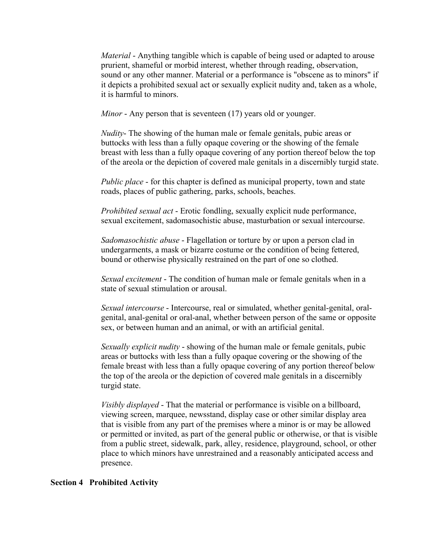*Material* - Anything tangible which is capable of being used or adapted to arouse prurient, shameful or morbid interest, whether through reading, observation, sound or any other manner. Material or a performance is "obscene as to minors" if it depicts a prohibited sexual act or sexually explicit nudity and, taken as a whole, it is harmful to minors.

*Minor* - Any person that is seventeen (17) years old or younger.

*Nudity*- The showing of the human male or female genitals, pubic areas or buttocks with less than a fully opaque covering or the showing of the female breast with less than a fully opaque covering of any portion thereof below the top of the areola or the depiction of covered male genitals in a discernibly turgid state.

*Public place* - for this chapter is defined as municipal property, town and state roads, places of public gathering, parks, schools, beaches.

*Prohibited sexual act* - Erotic fondling, sexually explicit nude performance, sexual excitement, sadomasochistic abuse, masturbation or sexual intercourse.

*Sadomasochistic abuse* - Flagellation or torture by or upon a person clad in undergarments, a mask or bizarre costume or the condition of being fettered, bound or otherwise physically restrained on the part of one so clothed.

*Sexual excitement* - The condition of human male or female genitals when in a state of sexual stimulation or arousal.

*Sexual intercourse* - Intercourse, real or simulated, whether genital-genital, oralgenital, anal-genital or oral-anal, whether between person of the same or opposite sex, or between human and an animal, or with an artificial genital.

*Sexually explicit nudity* - showing of the human male or female genitals, pubic areas or buttocks with less than a fully opaque covering or the showing of the female breast with less than a fully opaque covering of any portion thereof below the top of the areola or the depiction of covered male genitals in a discernibly turgid state.

*Visibly displayed* - That the material or performance is visible on a billboard, viewing screen, marquee, newsstand, display case or other similar display area that is visible from any part of the premises where a minor is or may be allowed or permitted or invited, as part of the general public or otherwise, or that is visible from a public street, sidewalk, park, alley, residence, playground, school, or other place to which minors have unrestrained and a reasonably anticipated access and presence.

#### **Section 4 Prohibited Activity**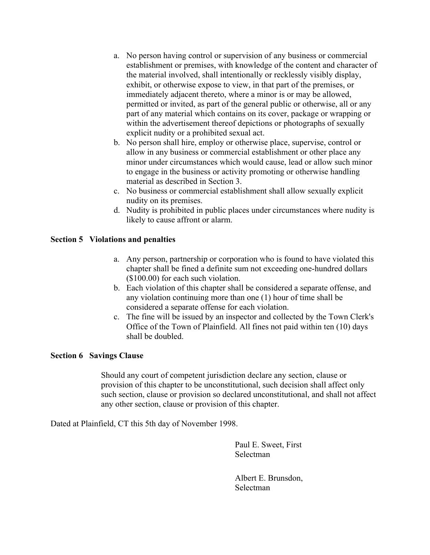- a. No person having control or supervision of any business or commercial establishment or premises, with knowledge of the content and character of the material involved, shall intentionally or recklessly visibly display, exhibit, or otherwise expose to view, in that part of the premises, or immediately adjacent thereto, where a minor is or may be allowed, permitted or invited, as part of the general public or otherwise, all or any part of any material which contains on its cover, package or wrapping or within the advertisement thereof depictions or photographs of sexually explicit nudity or a prohibited sexual act.
- b. No person shall hire, employ or otherwise place, supervise, control or allow in any business or commercial establishment or other place any minor under circumstances which would cause, lead or allow such minor to engage in the business or activity promoting or otherwise handling material as described in Section 3.
- c. No business or commercial establishment shall allow sexually explicit nudity on its premises.
- d. Nudity is prohibited in public places under circumstances where nudity is likely to cause affront or alarm.

# **Section 5 Violations and penalties**

- a. Any person, partnership or corporation who is found to have violated this chapter shall be fined a definite sum not exceeding one-hundred dollars (\$100.00) for each such violation.
- b. Each violation of this chapter shall be considered a separate offense, and any violation continuing more than one (1) hour of time shall be considered a separate offense for each violation.
- c. The fine will be issued by an inspector and collected by the Town Clerk's Office of the Town of Plainfield. All fines not paid within ten (10) days shall be doubled.

## **Section 6 Savings Clause**

Should any court of competent jurisdiction declare any section, clause or provision of this chapter to be unconstitutional, such decision shall affect only such section, clause or provision so declared unconstitutional, and shall not affect any other section, clause or provision of this chapter.

Dated at Plainfield, CT this 5th day of November 1998.

 Paul E. Sweet, First Selectman

 Albert E. Brunsdon, Selectman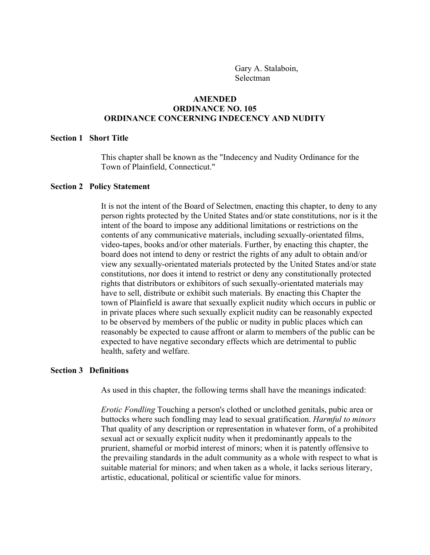Gary A. Stalaboin, Selectman

# **AMENDED ORDINANCE NO. 105 ORDINANCE CONCERNING INDECENCY AND NUDITY**

#### **Section 1 Short Title**

This chapter shall be known as the "Indecency and Nudity Ordinance for the Town of Plainfield, Connecticut."

#### **Section 2 Policy Statement**

It is not the intent of the Board of Selectmen, enacting this chapter, to deny to any person rights protected by the United States and/or state constitutions, nor is it the intent of the board to impose any additional limitations or restrictions on the contents of any communicative materials, including sexually-orientated films, video-tapes, books and/or other materials. Further, by enacting this chapter, the board does not intend to deny or restrict the rights of any adult to obtain and/or view any sexually-orientated materials protected by the United States and/or state constitutions, nor does it intend to restrict or deny any constitutionally protected rights that distributors or exhibitors of such sexually-orientated materials may have to sell, distribute or exhibit such materials. By enacting this Chapter the town of Plainfield is aware that sexually explicit nudity which occurs in public or in private places where such sexually explicit nudity can be reasonably expected to be observed by members of the public or nudity in public places which can reasonably be expected to cause affront or alarm to members of the public can be expected to have negative secondary effects which are detrimental to public health, safety and welfare.

#### **Section 3 Definitions**

As used in this chapter, the following terms shall have the meanings indicated:

*Erotic Fondling* Touching a person's clothed or unclothed genitals, pubic area or buttocks where such fondling may lead to sexual gratification. *Harmful to minors* That quality of any description or representation in whatever form, of a prohibited sexual act or sexually explicit nudity when it predominantly appeals to the prurient, shameful or morbid interest of minors; when it is patently offensive to the prevailing standards in the adult community as a whole with respect to what is suitable material for minors; and when taken as a whole, it lacks serious literary, artistic, educational, political or scientific value for minors.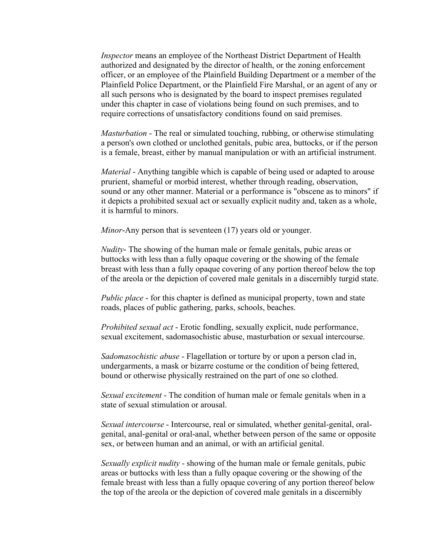*Inspector* means an employee of the Northeast District Department of Health authorized and designated by the director of health, or the zoning enforcement officer, or an employee of the Plainfield Building Department or a member of the Plainfield Police Department, or the Plainfield Fire Marshal, or an agent of any or all such persons who is designated by the board to inspect premises regulated under this chapter in case of violations being found on such premises, and to require corrections of unsatisfactory conditions found on said premises.

*Masturbation* - The real or simulated touching, rubbing, or otherwise stimulating a person's own clothed or unclothed genitals, pubic area, buttocks, or if the person is a female, breast, either by manual manipulation or with an artificial instrument.

*Material* - Anything tangible which is capable of being used or adapted to arouse prurient, shameful or morbid interest, whether through reading, observation, sound or any other manner. Material or a performance is "obscene as to minors" if it depicts a prohibited sexual act or sexually explicit nudity and, taken as a whole, it is harmful to minors.

*Minor*-Any person that is seventeen (17) years old or younger.

*Nudity*- The showing of the human male or female genitals, pubic areas or buttocks with less than a fully opaque covering or the showing of the female breast with less than a fully opaque covering of any portion thereof below the top of the areola or the depiction of covered male genitals in a discernibly turgid state.

*Public place* - for this chapter is defined as municipal property, town and state roads, places of public gathering, parks, schools, beaches.

*Prohibited sexual act* - Erotic fondling, sexually explicit, nude performance, sexual excitement, sadomasochistic abuse, masturbation or sexual intercourse.

*Sadomasochistic abuse* - Flagellation or torture by or upon a person clad in, undergarments, a mask or bizarre costume or the condition of being fettered, bound or otherwise physically restrained on the part of one so clothed.

*Sexual excitement* - The condition of human male or female genitals when in a state of sexual stimulation or arousal.

*Sexual intercourse* - Intercourse, real or simulated, whether genital-genital, oralgenital, anal-genital or oral-anal, whether between person of the same or opposite sex, or between human and an animal, or with an artificial genital.

*Sexually explicit nudity* - showing of the human male or female genitals, pubic areas or buttocks with less than a fully opaque covering or the showing of the female breast with less than a fully opaque covering of any portion thereof below the top of the areola or the depiction of covered male genitals in a discernibly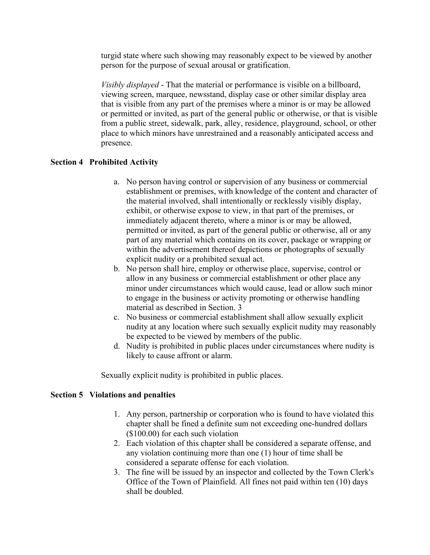turgid state where such showing may reasonably expect to be viewed by another person for the purpose of sexual arousal or gratification.

*Visibly displayed* - That the material or performance is visible on a billboard, viewing screen, marquee, newsstand, display case or other similar display area that is visible from any part of the premises where a minor is or may be allowed or permitted or invited, as part of the general public or otherwise, or that is visible from a public street, sidewalk, park, alley, residence, playground, school, or other place to which minors have unrestrained and a reasonably anticipated access and presence.

# **Section 4 Prohibited Activity**

- a. No person having control or supervision of any business or commercial establishment or premises, with knowledge of the content and character of the material involved, shall intentionally or recklessly visibly display, exhibit, or otherwise expose to view, in that part of the premises, or immediately adjacent thereto, where a minor is or may be allowed, permitted or invited, as part of the general public or otherwise, all or any part of any material which contains on its cover, package or wrapping or within the advertisement thereof depictions or photographs of sexually explicit nudity or a prohibited sexual act.
- b. No person shall hire, employ or otherwise place, supervise, control or allow in any business or commercial establishment or other place any minor under circumstances which would cause, lead or allow such minor to engage in the business or activity promoting or otherwise handling material as described in Section. 3
- c. No business or commercial establishment shall allow sexually explicit nudity at any location where such sexually explicit nudity may reasonably be expected to be viewed by members of the public.
- d. Nudity is prohibited in public places under circumstances where nudity is likely to cause affront or alarm.

Sexually explicit nudity is prohibited in public places.

## **Section 5 Violations and penalties**

- 1. Any person, partnership or corporation who is found to have violated this chapter shall be fined a definite sum not exceeding one-hundred dollars (\$100.00) for each such violation
- 2. Each violation of this chapter shall be considered a separate offense, and any violation continuing more than one (1) hour of time shall be considered a separate offense for each violation.
- 3. The fine will be issued by an inspector and collected by the Town Clerk's Office of the Town of Plainfield. All fines not paid within ten (10) days shall be doubled.